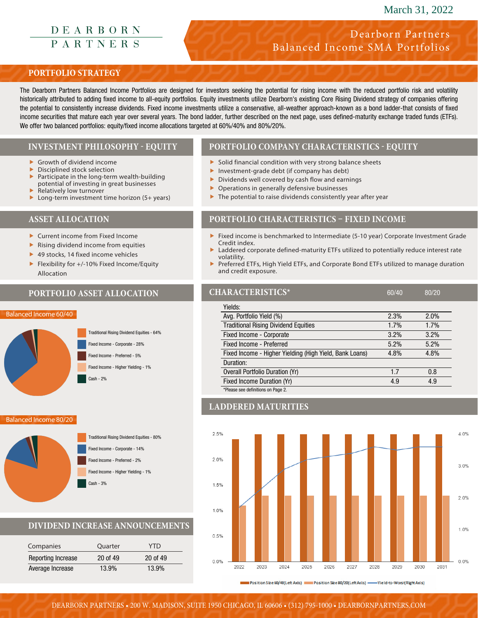# March 31, 2022

# DEARBORN<br>PARTNERS

# Dearborn Partners Balanced Income SMA Portfolios

# **PORTFOLIO STRATEGY**

The Dearborn Partners Balanced Income Portfolios are designed for investors seeking the potential for rising income with the reduced portfolio risk and volatility historically attributed to adding fixed income to all-equity portfolios. Equity investments utilize Dearborn's existing Core Rising Dividend strategy of companies offering the potential to consistently increase dividends. Fixed income investments utilize a conservative, all-weather approach-known as a bond ladder-that consists of fixed income securities that mature each year over several years. The bond ladder, further described on the next page, uses defined-maturity exchange traded funds (ETFs). We offer two balanced portfolios: equity/fixed income allocations targeted at 60%/40% and 80%/20%.

## **INVESTMENT PHILOSOPHY - EQUITY**

- Growth of dividend income
- Disciplined stock selection Participate in the long-term wealth-building potential of investing in great businesses
- Relatively low turnover
- $\blacktriangleright$  Long-term investment time horizon (5+ years)

# **ASSET ALLOCATION**

- $\blacktriangleright$  Current income from Fixed Income
- $\blacktriangleright$  Rising dividend income from equities
- $\blacktriangleright$  49 stocks, 14 fixed income vehicles
- Flexibility for  $+/-10%$  Fixed Income/Equity Allocation

# **PORTFOLIO ASSET ALLOCATION**

#### Balanced Income 60/40



Balanced Income 80/20



# **DIVIDEND INCREASE ANNOUNCEMENTS**

| Companies          | Quarter  | <b>YTD</b> |
|--------------------|----------|------------|
| Reporting Increase | 20 of 49 | 20 of 49   |
| Average Increase   | 13.9%    | 13.9%      |

# **PORTFOLIO COMPANY CHARACTERISTICS - EQUITY**

- $\blacktriangleright$  Solid financial condition with very strong balance sheets
- $\blacktriangleright$  Investment-grade debt (if company has debt)
- $\triangleright$  Dividends well covered by cash flow and earnings
- $\triangleright$  Operations in generally defensive businesses
- $\blacktriangleright$  The potential to raise dividends consistently year after year

## **PORTFOLIO CHARACTERISTICS – FIXED INCOME**

- $\blacktriangleright$  Fixed income is benchmarked to Intermediate (5-10 year) Corporate Investment Grade Credit index.
- Laddered corporate defined-maturity ETFs utilized to potentially reduce interest rate volatility.
- f Preferred ETFs, High Yield ETFs, and Corporate Bond ETFs utilized to manage duration and credit exposure.

| <b>HARACTERISTICS*</b>                                  | 60/40 | 80/20 |
|---------------------------------------------------------|-------|-------|
| Yields:                                                 |       |       |
| Avg. Portfolio Yield (%)                                | 2.3%  | 2.0%  |
| <b>Traditional Rising Dividend Equities</b>             | 1.7%  | 1.7%  |
| Fixed Income - Corporate                                | 3.2%  | 3.2%  |
| Fixed Income - Preferred                                | 5.2%  | 5.2%  |
| Fixed Income - Higher Yielding (High Yield, Bank Loans) | 4.8%  | 4.8%  |
| Duration:                                               |       |       |
| <b>Overall Portfolio Duration (Yr)</b>                  | 1.7   | 0.8   |
| Fixed Income Duration (Yr)                              | 4.9   | 4.9   |
| *Please see definitions on Page 2.                      |       |       |

## **LADDERED MATURITIES**



Position Size 60/40(Left Axis) New Position Size 80/20(Left Axis) - Yield-to-Worst Right Axis)